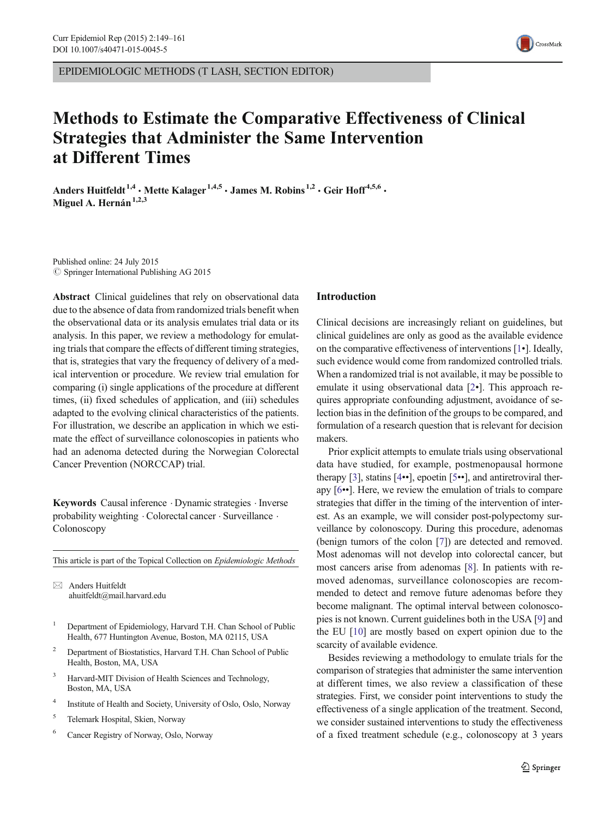EPIDEMIOLOGIC METHODS (T LASH, SECTION EDITOR)

# Methods to Estimate the Comparative Effectiveness of Clinical Strategies that Administer the Same Intervention at Different Times

Anders Huitfeldt<sup>1,4</sup> · Mette Kalager<sup>1,4,5</sup> · James M. Robins<sup>1,2</sup> · Geir Hoff<sup>4,5,6</sup> · Miguel A. Hernán $1,2,3$ 

Published online: 24 July 2015  $\circ$  Springer International Publishing AG 2015

Abstract Clinical guidelines that rely on observational data due to the absence of data from randomized trials benefit when the observational data or its analysis emulates trial data or its analysis. In this paper, we review a methodology for emulating trials that compare the effects of different timing strategies, that is, strategies that vary the frequency of delivery of a medical intervention or procedure. We review trial emulation for comparing (i) single applications of the procedure at different times, (ii) fixed schedules of application, and (iii) schedules adapted to the evolving clinical characteristics of the patients. For illustration, we describe an application in which we estimate the effect of surveillance colonoscopies in patients who had an adenoma detected during the Norwegian Colorectal Cancer Prevention (NORCCAP) trial.

Keywords Causal inference . Dynamic strategies . Inverse probability weighting . Colorectal cancer . Surveillance . Colonoscopy

This article is part of the Topical Collection on Epidemiologic Methods

 $\boxtimes$  Anders Huitfeldt ahuitfeldt@mail.harvard.edu

- <sup>1</sup> Department of Epidemiology, Harvard T.H. Chan School of Public Health, 677 Huntington Avenue, Boston, MA 02115, USA
- <sup>2</sup> Department of Biostatistics, Harvard T.H. Chan School of Public Health, Boston, MA, USA
- <sup>3</sup> Harvard-MIT Division of Health Sciences and Technology, Boston, MA, USA
- <sup>4</sup> Institute of Health and Society, University of Oslo, Oslo, Norway
- <sup>5</sup> Telemark Hospital, Skien, Norway
- <sup>6</sup> Cancer Registry of Norway, Oslo, Norway

### Introduction

Clinical decisions are increasingly reliant on guidelines, but clinical guidelines are only as good as the available evidence on the comparative effectiveness of interventions [[1](#page-12-0)•]. Ideally, such evidence would come from randomized controlled trials. When a randomized trial is not available, it may be possible to emulate it using observational data [[2](#page-12-0)•]. This approach requires appropriate confounding adjustment, avoidance of selection bias in the definition of the groups to be compared, and formulation of a research question that is relevant for decision makers.

Prior explicit attempts to emulate trials using observational data have studied, for example, postmenopausal hormone therapy [[3\]](#page-12-0), statins [[4](#page-12-0)••], epoetin [[5](#page-12-0)••], and antiretroviral therapy [\[6](#page-12-0)••]. Here, we review the emulation of trials to compare strategies that differ in the timing of the intervention of interest. As an example, we will consider post-polypectomy surveillance by colonoscopy. During this procedure, adenomas (benign tumors of the colon [[7\]](#page-12-0)) are detected and removed. Most adenomas will not develop into colorectal cancer, but most cancers arise from adenomas [\[8](#page-12-0)]. In patients with removed adenomas, surveillance colonoscopies are recommended to detect and remove future adenomas before they become malignant. The optimal interval between colonoscopies is not known. Current guidelines both in the USA [[9\]](#page-12-0) and the EU [\[10](#page-12-0)] are mostly based on expert opinion due to the scarcity of available evidence.

Besides reviewing a methodology to emulate trials for the comparison of strategies that administer the same intervention at different times, we also review a classification of these strategies. First, we consider point interventions to study the effectiveness of a single application of the treatment. Second, we consider sustained interventions to study the effectiveness of a fixed treatment schedule (e.g., colonoscopy at 3 years

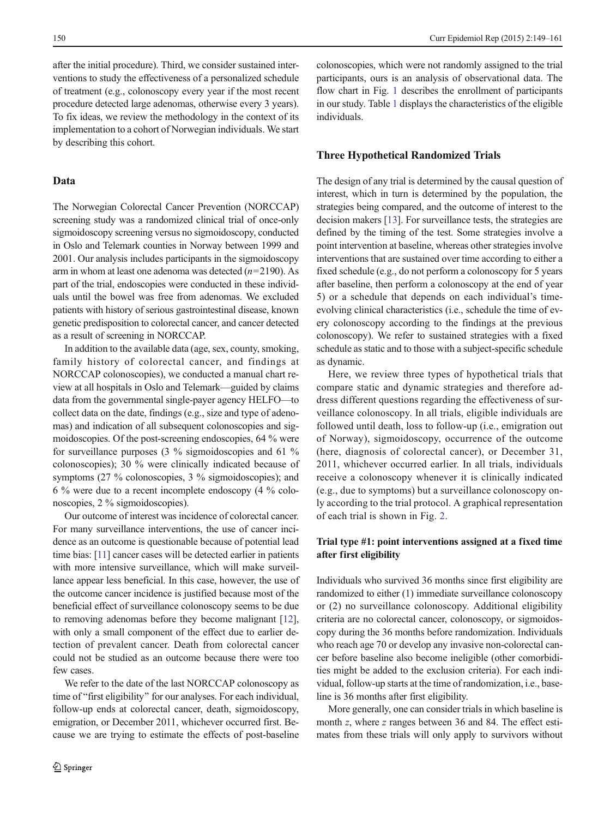after the initial procedure). Third, we consider sustained interventions to study the effectiveness of a personalized schedule of treatment (e.g., colonoscopy every year if the most recent procedure detected large adenomas, otherwise every 3 years). To fix ideas, we review the methodology in the context of its implementation to a cohort of Norwegian individuals. We start by describing this cohort.

## Data

The Norwegian Colorectal Cancer Prevention (NORCCAP) screening study was a randomized clinical trial of once-only sigmoidoscopy screening versus no sigmoidoscopy, conducted in Oslo and Telemark counties in Norway between 1999 and 2001. Our analysis includes participants in the sigmoidoscopy arm in whom at least one adenoma was detected  $(n=2190)$ . As part of the trial, endoscopies were conducted in these individuals until the bowel was free from adenomas. We excluded patients with history of serious gastrointestinal disease, known genetic predisposition to colorectal cancer, and cancer detected as a result of screening in NORCCAP.

In addition to the available data (age, sex, county, smoking, family history of colorectal cancer, and findings at NORCCAP colonoscopies), we conducted a manual chart review at all hospitals in Oslo and Telemark—guided by claims data from the governmental single-payer agency HELFO—to collect data on the date, findings (e.g., size and type of adenomas) and indication of all subsequent colonoscopies and sigmoidoscopies. Of the post-screening endoscopies, 64 % were for surveillance purposes (3 % sigmoidoscopies and 61 % colonoscopies); 30 % were clinically indicated because of symptoms (27 % colonoscopies, 3 % sigmoidoscopies); and 6 % were due to a recent incomplete endoscopy (4 % colonoscopies, 2 % sigmoidoscopies).

Our outcome of interest was incidence of colorectal cancer. For many surveillance interventions, the use of cancer incidence as an outcome is questionable because of potential lead time bias: [\[11\]](#page-12-0) cancer cases will be detected earlier in patients with more intensive surveillance, which will make surveillance appear less beneficial. In this case, however, the use of the outcome cancer incidence is justified because most of the beneficial effect of surveillance colonoscopy seems to be due to removing adenomas before they become malignant [[12\]](#page-12-0), with only a small component of the effect due to earlier detection of prevalent cancer. Death from colorectal cancer could not be studied as an outcome because there were too few cases.

We refer to the date of the last NORCCAP colonoscopy as time of "first eligibility" for our analyses. For each individual, follow-up ends at colorectal cancer, death, sigmoidoscopy, emigration, or December 2011, whichever occurred first. Because we are trying to estimate the effects of post-baseline colonoscopies, which were not randomly assigned to the trial participants, ours is an analysis of observational data. The flow chart in Fig. [1](#page-2-0) describes the enrollment of participants in our study. Table [1](#page-2-0) displays the characteristics of the eligible individuals.

#### Three Hypothetical Randomized Trials

The design of any trial is determined by the causal question of interest, which in turn is determined by the population, the strategies being compared, and the outcome of interest to the decision makers [[13](#page-12-0)]. For surveillance tests, the strategies are defined by the timing of the test. Some strategies involve a point intervention at baseline, whereas other strategies involve interventions that are sustained over time according to either a fixed schedule (e.g., do not perform a colonoscopy for 5 years after baseline, then perform a colonoscopy at the end of year 5) or a schedule that depends on each individual's timeevolving clinical characteristics (i.e., schedule the time of every colonoscopy according to the findings at the previous colonoscopy). We refer to sustained strategies with a fixed schedule as static and to those with a subject-specific schedule as dynamic.

Here, we review three types of hypothetical trials that compare static and dynamic strategies and therefore address different questions regarding the effectiveness of surveillance colonoscopy. In all trials, eligible individuals are followed until death, loss to follow-up (i.e., emigration out of Norway), sigmoidoscopy, occurrence of the outcome (here, diagnosis of colorectal cancer), or December 31, 2011, whichever occurred earlier. In all trials, individuals receive a colonoscopy whenever it is clinically indicated (e.g., due to symptoms) but a surveillance colonoscopy only according to the trial protocol. A graphical representation of each trial is shown in Fig. [2](#page-3-0).

# Trial type #1: point interventions assigned at a fixed time after first eligibility

Individuals who survived 36 months since first eligibility are randomized to either (1) immediate surveillance colonoscopy or (2) no surveillance colonoscopy. Additional eligibility criteria are no colorectal cancer, colonoscopy, or sigmoidoscopy during the 36 months before randomization. Individuals who reach age 70 or develop any invasive non-colorectal cancer before baseline also become ineligible (other comorbidities might be added to the exclusion criteria). For each individual, follow-up starts at the time of randomization, i.e., baseline is 36 months after first eligibility.

More generally, one can consider trials in which baseline is month z, where z ranges between 36 and 84. The effect estimates from these trials will only apply to survivors without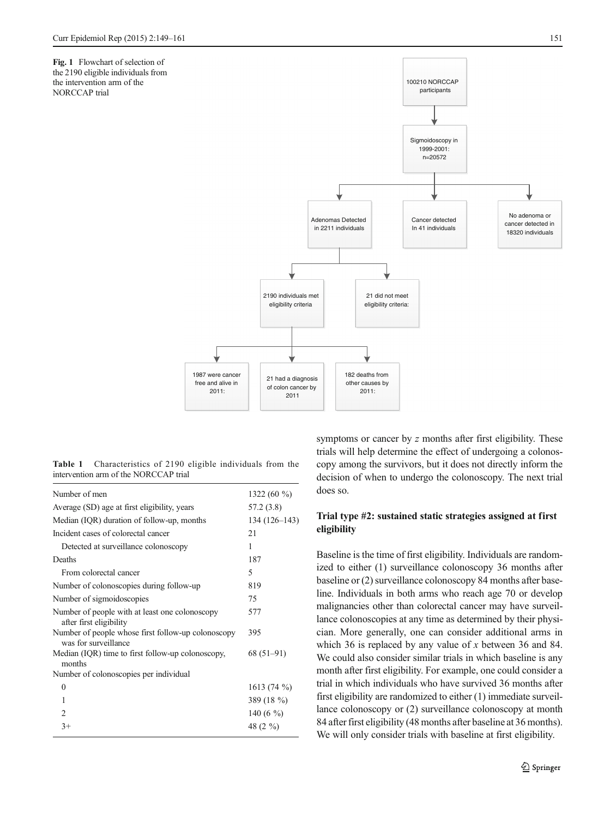<span id="page-2-0"></span>Fig. 1 Flowchart of selection of the 2190 eligible individuals from the intervention arm of the NORCCAP trial



Table 1 Characteristics of 2190 eligible individuals from the intervention arm of the NORCCAP trial

| Number of men                                                              | 1322 (60 $\%$ ) |
|----------------------------------------------------------------------------|-----------------|
| Average (SD) age at first eligibility, years                               | 57.2 (3.8)      |
| Median (IQR) duration of follow-up, months                                 | 134 (126–143)   |
| Incident cases of colorectal cancer                                        | 21              |
| Detected at surveillance colonoscopy                                       | 1               |
| Deaths                                                                     | 187             |
| From colorectal cancer                                                     | 5               |
| Number of colonoscopies during follow-up                                   | 819             |
| Number of sigmoidoscopies                                                  | 75              |
| Number of people with at least one colonoscopy<br>after first eligibility  | 577             |
| Number of people whose first follow-up colonoscopy<br>was for surveillance | 395             |
| Median (IQR) time to first follow-up colonoscopy,<br>months                | $68(51-91)$     |
| Number of colonoscopies per individual                                     |                 |
| $\theta$                                                                   | $1613(74\%)$    |
| 1                                                                          | 389 (18 %)      |
| $\mathfrak{D}$                                                             | 140 (6 $\%$ )   |
| $3+$                                                                       | 48 (2 %)        |

symptoms or cancer by z months after first eligibility. These trials will help determine the effect of undergoing a colonoscopy among the survivors, but it does not directly inform the decision of when to undergo the colonoscopy. The next trial does so.

# Trial type #2: sustained static strategies assigned at first eligibility

Baseline is the time of first eligibility. Individuals are randomized to either (1) surveillance colonoscopy 36 months after baseline or (2) surveillance colonoscopy 84 months after baseline. Individuals in both arms who reach age 70 or develop malignancies other than colorectal cancer may have surveillance colonoscopies at any time as determined by their physician. More generally, one can consider additional arms in which 36 is replaced by any value of x between 36 and 84. We could also consider similar trials in which baseline is any month after first eligibility. For example, one could consider a trial in which individuals who have survived 36 months after first eligibility are randomized to either (1) immediate surveillance colonoscopy or (2) surveillance colonoscopy at month 84 after first eligibility (48 months after baseline at 36 months). We will only consider trials with baseline at first eligibility.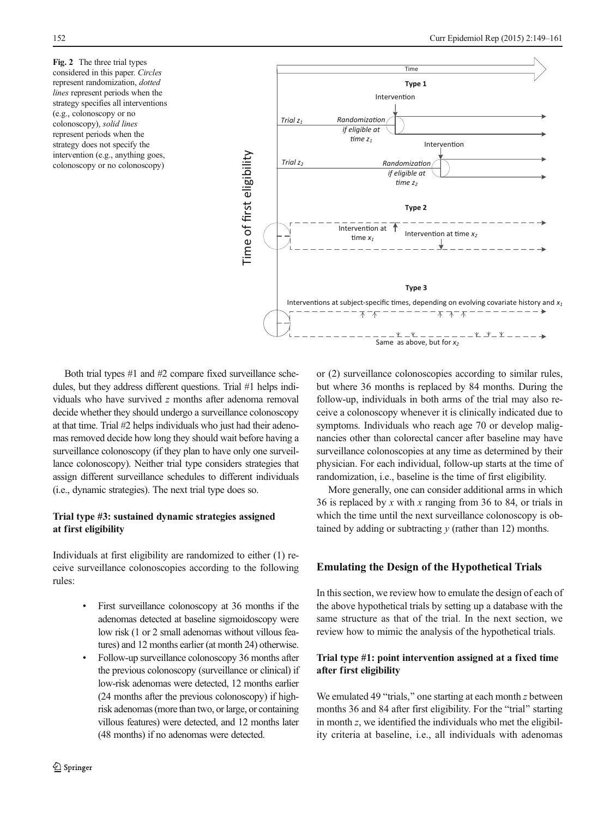<span id="page-3-0"></span>Fig. 2 The three trial types considered in this paper. Circles represent randomization, dotted lines represent periods when the strategy specifies all interventions (e.g., colonoscopy or no colonoscopy), solid lines represent periods when the strategy does not specify the intervention (e.g., anything goes, colonoscopy or no colonoscopy)



Both trial types #1 and #2 compare fixed surveillance schedules, but they address different questions. Trial #1 helps individuals who have survived z months after adenoma removal decide whether they should undergo a surveillance colonoscopy at that time. Trial #2 helps individuals who just had their adenomas removed decide how long they should wait before having a surveillance colonoscopy (if they plan to have only one surveillance colonoscopy). Neither trial type considers strategies that assign different surveillance schedules to different individuals (i.e., dynamic strategies). The next trial type does so.

# Trial type #3: sustained dynamic strategies assigned at first eligibility

Individuals at first eligibility are randomized to either (1) receive surveillance colonoscopies according to the following rules:

- First surveillance colonoscopy at 36 months if the adenomas detected at baseline sigmoidoscopy were low risk (1 or 2 small adenomas without villous features) and 12 months earlier (at month 24) otherwise.
- Follow-up surveillance colonoscopy 36 months after the previous colonoscopy (surveillance or clinical) if low-risk adenomas were detected, 12 months earlier (24 months after the previous colonoscopy) if highrisk adenomas (more than two, or large, or containing villous features) were detected, and 12 months later (48 months) if no adenomas were detected.

or (2) surveillance colonoscopies according to similar rules, but where 36 months is replaced by 84 months. During the follow-up, individuals in both arms of the trial may also receive a colonoscopy whenever it is clinically indicated due to symptoms. Individuals who reach age 70 or develop malignancies other than colorectal cancer after baseline may have surveillance colonoscopies at any time as determined by their physician. For each individual, follow-up starts at the time of randomization, i.e., baseline is the time of first eligibility.

More generally, one can consider additional arms in which 36 is replaced by x with x ranging from 36 to 84, or trials in which the time until the next surveillance colonoscopy is obtained by adding or subtracting  $y$  (rather than 12) months.

## Emulating the Design of the Hypothetical Trials

In this section, we review how to emulate the design of each of the above hypothetical trials by setting up a database with the same structure as that of the trial. In the next section, we review how to mimic the analysis of the hypothetical trials.

## Trial type #1: point intervention assigned at a fixed time after first eligibility

We emulated 49 "trials," one starting at each month  $z$  between months 36 and 84 after first eligibility. For the "trial" starting in month z, we identified the individuals who met the eligibility criteria at baseline, i.e., all individuals with adenomas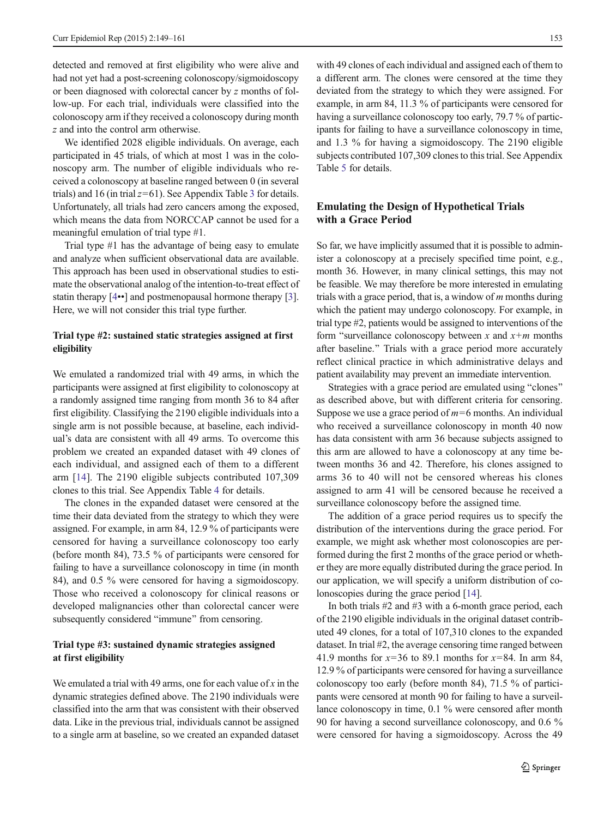<span id="page-4-0"></span>detected and removed at first eligibility who were alive and had not yet had a post-screening colonoscopy/sigmoidoscopy or been diagnosed with colorectal cancer by z months of follow-up. For each trial, individuals were classified into the colonoscopy arm if they received a colonoscopy during month z and into the control arm otherwise.

We identified 2028 eligible individuals. On average, each participated in 45 trials, of which at most 1 was in the colonoscopy arm. The number of eligible individuals who received a colonoscopy at baseline ranged between 0 (in several trials) and 16 (in trial  $z=61$ ). See Appendix Table [3](#page-8-0) for details. Unfortunately, all trials had zero cancers among the exposed, which means the data from NORCCAP cannot be used for a meaningful emulation of trial type #1.

Trial type #1 has the advantage of being easy to emulate and analyze when sufficient observational data are available. This approach has been used in observational studies to estimate the observational analog of the intention-to-treat effect of statin therapy [[4](#page-12-0)••] and postmenopausal hormone therapy [[3\]](#page-12-0). Here, we will not consider this trial type further.

# Trial type #2: sustained static strategies assigned at first eligibility

We emulated a randomized trial with 49 arms, in which the participants were assigned at first eligibility to colonoscopy at a randomly assigned time ranging from month 36 to 84 after first eligibility. Classifying the 2190 eligible individuals into a single arm is not possible because, at baseline, each individual's data are consistent with all 49 arms. To overcome this problem we created an expanded dataset with 49 clones of each individual, and assigned each of them to a different arm [[14\]](#page-12-0). The 2190 eligible subjects contributed 107,309 clones to this trial. See Appendix Table [4](#page-9-0) for details.

The clones in the expanded dataset were censored at the time their data deviated from the strategy to which they were assigned. For example, in arm 84, 12.9 % of participants were censored for having a surveillance colonoscopy too early (before month 84), 73.5 % of participants were censored for failing to have a surveillance colonoscopy in time (in month 84), and 0.5 % were censored for having a sigmoidoscopy. Those who received a colonoscopy for clinical reasons or developed malignancies other than colorectal cancer were subsequently considered "immune" from censoring.

## Trial type #3: sustained dynamic strategies assigned at first eligibility

We emulated a trial with 49 arms, one for each value of x in the dynamic strategies defined above. The 2190 individuals were classified into the arm that was consistent with their observed data. Like in the previous trial, individuals cannot be assigned to a single arm at baseline, so we created an expanded dataset

with 49 clones of each individual and assigned each of them to a different arm. The clones were censored at the time they deviated from the strategy to which they were assigned. For example, in arm 84, 11.3 % of participants were censored for having a surveillance colonoscopy too early, 79.7 % of participants for failing to have a surveillance colonoscopy in time, and 1.3 % for having a sigmoidoscopy. The 2190 eligible subjects contributed 107,309 clones to this trial. See Appendix Table [5](#page-11-0) for details.

# Emulating the Design of Hypothetical Trials with a Grace Period

So far, we have implicitly assumed that it is possible to administer a colonoscopy at a precisely specified time point, e.g., month 36. However, in many clinical settings, this may not be feasible. We may therefore be more interested in emulating trials with a grace period, that is, a window of  *months during* which the patient may undergo colonoscopy. For example, in trial type #2, patients would be assigned to interventions of the form "surveillance colonoscopy between x and  $x+m$  months after baseline." Trials with a grace period more accurately reflect clinical practice in which administrative delays and patient availability may prevent an immediate intervention.

Strategies with a grace period are emulated using "clones" as described above, but with different criteria for censoring. Suppose we use a grace period of  $m=6$  months. An individual who received a surveillance colonoscopy in month 40 now has data consistent with arm 36 because subjects assigned to this arm are allowed to have a colonoscopy at any time between months 36 and 42. Therefore, his clones assigned to arms 36 to 40 will not be censored whereas his clones assigned to arm 41 will be censored because he received a surveillance colonoscopy before the assigned time.

The addition of a grace period requires us to specify the distribution of the interventions during the grace period. For example, we might ask whether most colonoscopies are performed during the first 2 months of the grace period or whether they are more equally distributed during the grace period. In our application, we will specify a uniform distribution of colonoscopies during the grace period [[14\]](#page-12-0).

In both trials #2 and #3 with a 6-month grace period, each of the 2190 eligible individuals in the original dataset contributed 49 clones, for a total of 107,310 clones to the expanded dataset. In trial #2, the average censoring time ranged between 41.9 months for  $x=36$  to 89.1 months for  $x=84$ . In arm 84, 12.9 % of participants were censored for having a surveillance colonoscopy too early (before month 84), 71.5 % of participants were censored at month 90 for failing to have a surveillance colonoscopy in time, 0.1 % were censored after month 90 for having a second surveillance colonoscopy, and 0.6 % were censored for having a sigmoidoscopy. Across the 49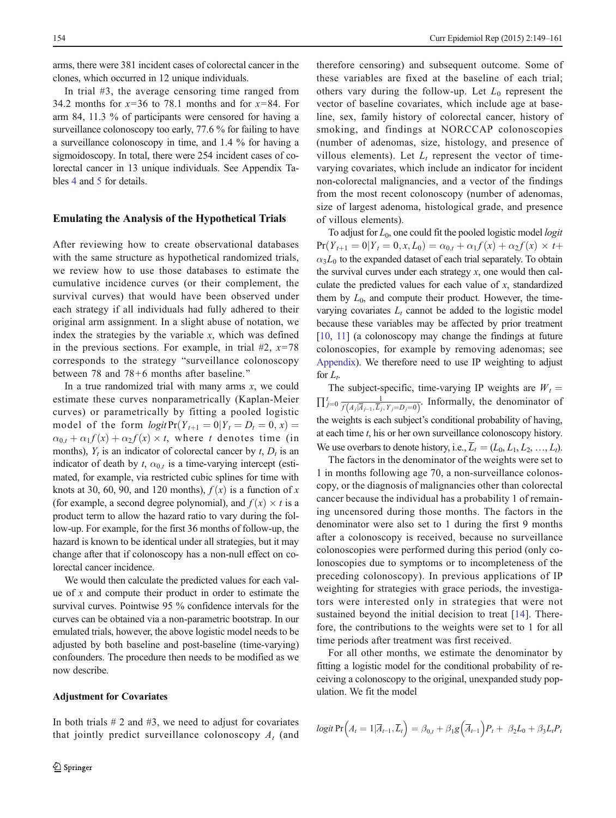arms, there were 381 incident cases of colorectal cancer in the clones, which occurred in 12 unique individuals.

In trial #3, the average censoring time ranged from 34.2 months for  $x=36$  to 78.1 months and for  $x=84$ . For arm 84, 11.3 % of participants were censored for having a surveillance colonoscopy too early, 77.6 % for failing to have a surveillance colonoscopy in time, and 1.4 % for having a sigmoidoscopy. In total, there were 254 incident cases of colorectal cancer in 13 unique individuals. See Appendix Tables [4](#page-9-0) and [5](#page-11-0) for details.

## Emulating the Analysis of the Hypothetical Trials

After reviewing how to create observational databases with the same structure as hypothetical randomized trials, we review how to use those databases to estimate the cumulative incidence curves (or their complement, the survival curves) that would have been observed under each strategy if all individuals had fully adhered to their original arm assignment. In a slight abuse of notation, we index the strategies by the variable  $x$ , which was defined in the previous sections. For example, in trial  $#2$ ,  $x=78$ corresponds to the strategy "surveillance colonoscopy between 78 and 78+6 months after baseline."

In a true randomized trial with many arms  $x$ , we could estimate these curves nonparametrically (Kaplan-Meier curves) or parametrically by fitting a pooled logistic model of the form  $logit Pr(Y_{t+1} = 0 | Y_t = D_t = 0, x) =$  $\alpha_{0,t} + \alpha_1 f(x) + \alpha_2 f(x) \times t$ , where t denotes time (in months),  $Y_t$  is an indicator of colorectal cancer by t,  $D_t$  is an indicator of death by  $t$ ,  $\alpha_{0,t}$  is a time-varying intercept (estimated, for example, via restricted cubic splines for time with knots at 30, 60, 90, and 120 months),  $f(x)$  is a function of x (for example, a second degree polynomial), and  $f(x) \times t$  is a product term to allow the hazard ratio to vary during the follow-up. For example, for the first 36 months of follow-up, the hazard is known to be identical under all strategies, but it may change after that if colonoscopy has a non-null effect on colorectal cancer incidence.

We would then calculate the predicted values for each value of  $x$  and compute their product in order to estimate the survival curves. Pointwise 95 % confidence intervals for the curves can be obtained via a non-parametric bootstrap. In our emulated trials, however, the above logistic model needs to be adjusted by both baseline and post-baseline (time-varying) confounders. The procedure then needs to be modified as we now describe.

## Adjustment for Covariates

In both trials  $# 2$  and  $#3$ , we need to adjust for covariates that jointly predict surveillance colonoscopy  $A_t$  (and

therefore censoring) and subsequent outcome. Some of these variables are fixed at the baseline of each trial; others vary during the follow-up. Let  $L_0$  represent the vector of baseline covariates, which include age at baseline, sex, family history of colorectal cancer, history of smoking, and findings at NORCCAP colonoscopies (number of adenomas, size, histology, and presence of villous elements). Let  $L_t$  represent the vector of timevarying covariates, which include an indicator for incident non-colorectal malignancies, and a vector of the findings from the most recent colonoscopy (number of adenomas, size of largest adenoma, histological grade, and presence of villous elements).

To adjust for  $L_0$ , one could fit the pooled logistic model *logit*  $Pr(Y_{t+1} = 0 | Y_t = 0, x, L_0) = \alpha_{0,t} + \alpha_1 f(x) + \alpha_2 f(x) \times t +$  $\alpha_3 L_0$  to the expanded dataset of each trial separately. To obtain the survival curves under each strategy  $x$ , one would then calculate the predicted values for each value of  $x$ , standardized them by  $L_0$ , and compute their product. However, the timevarying covariates  $L_t$  cannot be added to the logistic model because these variables may be affected by prior treatment [\[10](#page-12-0), [11\]](#page-12-0) (a colonoscopy may change the findings at future colonoscopies, for example by removing adenomas; see [Appendix](#page-4-0)). We therefore need to use IP weighting to adjust for  $L_t$ .

The subject-specific, time-varying IP weights are  $W_t =$  $\prod_{j=0}^{t} \frac{1}{f(A_j|\overline{A}_{j-1}, \overline{L}_j, Y_j = D_j = 0)}$ . Informally, the denominator of the weights is each subject's conditional probability of having, at each time t, his or her own surveillance colonoscopy history. We use overbars to denote history, i.e.,  $\overline{L}_t = (L_0, L_1, L_2, \ldots, L_t)$ .

The factors in the denominator of the weights were set to 1 in months following age 70, a non-surveillance colonoscopy, or the diagnosis of malignancies other than colorectal cancer because the individual has a probability 1 of remaining uncensored during those months. The factors in the denominator were also set to 1 during the first 9 months after a colonoscopy is received, because no surveillance colonoscopies were performed during this period (only colonoscopies due to symptoms or to incompleteness of the preceding colonoscopy). In previous applications of IP weighting for strategies with grace periods, the investigators were interested only in strategies that were not sustained beyond the initial decision to treat [[14](#page-12-0)]. Therefore, the contributions to the weights were set to 1 for all time periods after treatment was first received.

For all other months, we estimate the denominator by fitting a logistic model for the conditional probability of receiving a colonoscopy to the original, unexpanded study population. We fit the model

$$
logit \Pr(A_t = 1 | \overline{A}_{t-1}, \overline{L}_t) = \beta_{0,t} + \beta_1 g(\overline{A}_{t-1}) P_t + \beta_2 L_0 + \beta_3 L_t P_t
$$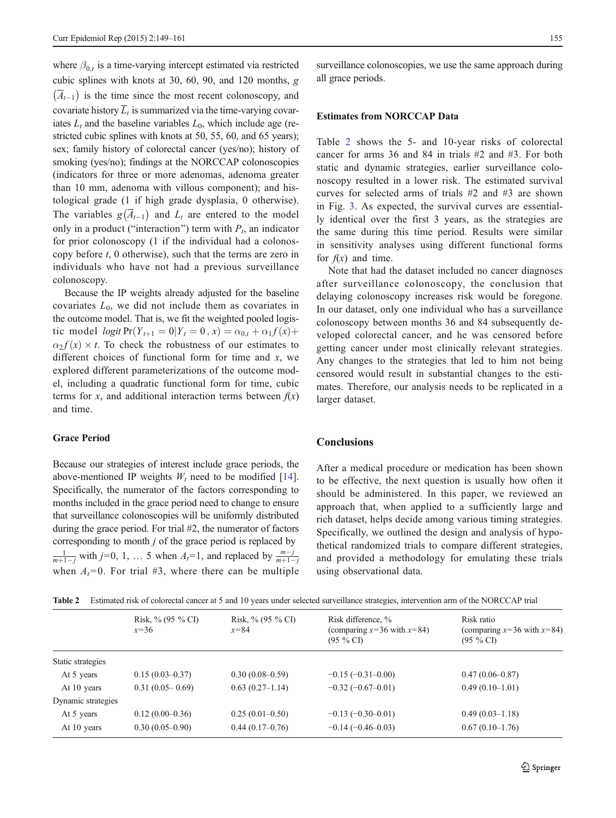where  $\beta_{0,t}$  is a time-varying intercept estimated via restricted cubic splines with knots at 30, 60, 90, and 120 months, g  $(\overline{A}_{t-1})$  is the time since the most recent colonoscopy, and covariate history  $\overline{L}_t$  is summarized via the time-varying covariates  $L_t$  and the baseline variables  $L_0$ , which include age (restricted cubic splines with knots at 50, 55, 60, and 65 years); sex; family history of colorectal cancer (yes/no); history of smoking (yes/no); findings at the NORCCAP colonoscopies (indicators for three or more adenomas, adenoma greater than 10 mm, adenoma with villous component); and histological grade (1 if high grade dysplasia, 0 otherwise). The variables  $g(\overline{A}_{t-1})$  and  $L_t$  are entered to the model only in a product ("interaction") term with  $P_t$ , an indicator for prior colonoscopy (1 if the individual had a colonoscopy before  $t$ , 0 otherwise), such that the terms are zero in individuals who have not had a previous surveillance colonoscopy.

Because the IP weights already adjusted for the baseline covariates  $L_0$ , we did not include them as covariates in the outcome model. That is, we fit the weighted pooled logistic model logit  $Pr(Y_{t+1} = 0 | Y_t = 0, x) = \alpha_{0,t} + \alpha_1 f(x) +$  $\alpha_2 f(x) \times t$ . To check the robustness of our estimates to different choices of functional form for time and  $x$ , we explored different parameterizations of the outcome model, including a quadratic functional form for time, cubic terms for x, and additional interaction terms between  $f(x)$ and time.

### Grace Period

Because our strategies of interest include grace periods, the above-mentioned IP weights  $W_t$  need to be modified [\[14](#page-12-0)]. Specifically, the numerator of the factors corresponding to months included in the grace period need to change to ensure that surveillance colonoscopies will be uniformly distributed during the grace period. For trial #2, the numerator of factors corresponding to month  $j$  of the grace period is replaced by  $\frac{1}{m+1-j}$  with  $j=0, 1, \ldots 5$  when  $A_t=1$ , and replaced by  $\frac{m-j}{m+1-j}$ when  $A_t=0$ . For trial #3, where there can be multiple

surveillance colonoscopies, we use the same approach during all grace periods.

#### Estimates from NORCCAP Data

Table 2 shows the 5- and 10-year risks of colorectal cancer for arms 36 and 84 in trials #2 and #3. For both static and dynamic strategies, earlier surveillance colonoscopy resulted in a lower risk. The estimated survival curves for selected arms of trials #2 and #3 are shown in Fig. [3.](#page-7-0) As expected, the survival curves are essentially identical over the first 3 years, as the strategies are the same during this time period. Results were similar in sensitivity analyses using different functional forms for  $f(x)$  and time.

Note that had the dataset included no cancer diagnoses after surveillance colonoscopy, the conclusion that delaying colonoscopy increases risk would be foregone. In our dataset, only one individual who has a surveillance colonoscopy between months 36 and 84 subsequently developed colorectal cancer, and he was censored before getting cancer under most clinically relevant strategies. Any changes to the strategies that led to him not being censored would result in substantial changes to the estimates. Therefore, our analysis needs to be replicated in a larger dataset.

# **Conclusions**

After a medical procedure or medication has been shown to be effective, the next question is usually how often it should be administered. In this paper, we reviewed an approach that, when applied to a sufficiently large and rich dataset, helps decide among various timing strategies. Specifically, we outlined the design and analysis of hypothetical randomized trials to compare different strategies, and provided a methodology for emulating these trials using observational data.

|  | Table 2 Estimated risk of colorectal cancer at 5 and 10 years under selected surveillance strategies, intervention arm of the NORCCAP trial |  |  |  |  |
|--|---------------------------------------------------------------------------------------------------------------------------------------------|--|--|--|--|
|--|---------------------------------------------------------------------------------------------------------------------------------------------|--|--|--|--|

|                    | Risk, $\%$ (95 $\%$ CI)<br>$x=36$ | Risk, $\%$ (95 $\%$ CI)<br>$x = 84$ | Risk difference, %<br>(comparing $x=36$ with $x=84$ )<br>$(95 \% CI)$ | Risk ratio<br>(comparing $x=36$ with $x=84$ )<br>$(95\% \text{ CI})$ |
|--------------------|-----------------------------------|-------------------------------------|-----------------------------------------------------------------------|----------------------------------------------------------------------|
| Static strategies  |                                   |                                     |                                                                       |                                                                      |
| At 5 years         | $0.15(0.03-0.37)$                 | $0.30(0.08-0.59)$                   | $-0.15(-0.31-0.00)$                                                   | $0.47(0.06 - 0.87)$                                                  |
| At 10 years        | $0.31(0.05-0.69)$                 | $0.63(0.27-1.14)$                   | $-0.32(-0.67-0.01)$                                                   | $0.49(0.10-1.01)$                                                    |
| Dynamic strategies |                                   |                                     |                                                                       |                                                                      |
| At 5 years         | $0.12(0.00-0.36)$                 | $0.25(0.01-0.50)$                   | $-0.13(-0.30-0.01)$                                                   | $0.49(0.03-1.18)$                                                    |
| At 10 years        | $0.30(0.05-0.90)$                 | $0.44(0.17-0.76)$                   | $-0.14(-0.46-0.03)$                                                   | $0.67(0.10-1.76)$                                                    |
|                    |                                   |                                     |                                                                       |                                                                      |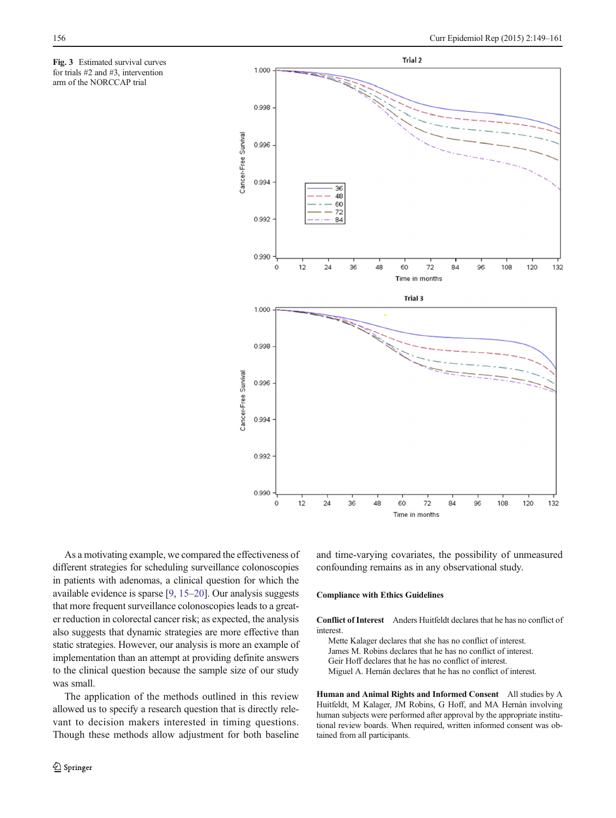<span id="page-7-0"></span>Fig. 3 Estimated survival curves for trials #2 and #3, intervention arm of the NORCCAP trial



As a motivating example, we compared the effectiveness of different strategies for scheduling surveillance colonoscopies in patients with adenomas, a clinical question for which the available evidence is sparse [\[9](#page-12-0), [15](#page-12-0)–[20](#page-12-0)]. Our analysis suggests that more frequent surveillance colonoscopies leads to a greater reduction in colorectal cancer risk; as expected, the analysis also suggests that dynamic strategies are more effective than static strategies. However, our analysis is more an example of implementation than an attempt at providing definite answers to the clinical question because the sample size of our study was small.

The application of the methods outlined in this review allowed us to specify a research question that is directly relevant to decision makers interested in timing questions. Though these methods allow adjustment for both baseline and time-varying covariates, the possibility of unmeasured confounding remains as in any observational study.

#### Compliance with Ethics Guidelines

Conflict of Interest Anders Huitfeldt declares that he has no conflict of interest.

Mette Kalager declares that she has no conflict of interest.

James M. Robins declares that he has no conflict of interest.

Geir Hoff declares that he has no conflict of interest.

Miguel A. Hernán declares that he has no conflict of interest.

Human and Animal Rights and Informed Consent All studies by A Huitfeldt, M Kalager, JM Robins, G Hoff, and MA Hernàn involving human subjects were performed after approval by the appropriate institutional review boards. When required, written informed consent was obtained from all participants.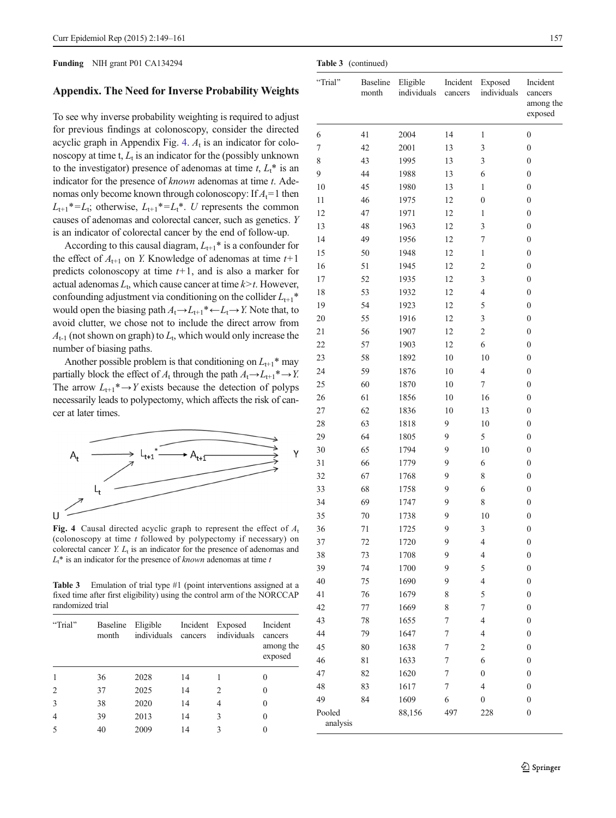#### <span id="page-8-0"></span>Funding NIH grant P01 CA134294

### Appendix. The Need for Inverse Probability Weights

To see why inverse probability weighting is required to adjust for previous findings at colonoscopy, consider the directed acyclic graph in Appendix Fig. 4.  $A_t$  is an indicator for colonoscopy at time t,  $L_t$  is an indicator for the (possibly unknown to the investigator) presence of adenomas at time  $t, L_t^*$  is an indicator for the presence of  $known$  adenomas at time  $t$ . Adenomas only become known through colonoscopy: If  $A_t = 1$  then  $L_{t+1}^* = L_t$ ; otherwise,  $L_{t+1}^* = L_t^*$ . U represents the common causes of adenomas and colorectal cancer, such as genetics. Y is an indicator of colorectal cancer by the end of follow-up.

According to this causal diagram,  $L_{t+1}^*$  is a confounder for the effect of  $A_{t+1}$  on Y. Knowledge of adenomas at time  $t+1$ predicts colonoscopy at time  $t+1$ , and is also a marker for actual adenomas  $L_t$ , which cause cancer at time  $k > t$ . However, confounding adjustment via conditioning on the collider  $L_{t+1}$ <sup>\*</sup> would open the biasing path  $A_t \rightarrow L_{t+1}^* \leftarrow L_t \rightarrow Y$ . Note that, to avoid clutter, we chose not to include the direct arrow from  $A_{t-1}$  (not shown on graph) to  $L_t$ , which would only increase the number of biasing paths.

Another possible problem is that conditioning on  $L_{t+1}$ <sup>\*</sup> may partially block the effect of  $A_t$  through the path  $A_t \rightarrow L_{t+1}^* \rightarrow Y$ . The arrow  $L_{t+1}^* \rightarrow Y$  exists because the detection of polyps necessarily leads to polypectomy, which affects the risk of cancer at later times.



Fig. 4 Causal directed acyclic graph to represent the effect of  $A_t$ (colonoscopy at time  $t$  followed by polypectomy if necessary) on colorectal cancer Y.  $L_t$  is an indicator for the presence of adenomas and  $L_t^*$  is an indicator for the presence of *known* adenomas at time t

Table 3 Emulation of trial type #1 (point interventions assigned at a fixed time after first eligibility) using the control arm of the NORCCAP randomized trial

| "Trial"        | <b>Baseline</b><br>month | Eligible<br>individuals cancers | Incident | Exposed<br>individuals | Incident<br>cancers<br>among the<br>exposed |
|----------------|--------------------------|---------------------------------|----------|------------------------|---------------------------------------------|
| $\mathbf{1}$   | 36                       | 2028                            | 14       |                        | $\theta$                                    |
| 2              | 37                       | 2025                            | 14       | $\mathfrak{D}$         | 0                                           |
| 3              | 38                       | 2020                            | 14       | 4                      | 0                                           |
| $\overline{4}$ | 39                       | 2013                            | 14       | 3                      | $\theta$                                    |
| 5              | 40                       | 2009                            | 14       | 3                      |                                             |

|          | Table 3 (continued)      |                         |                     |                        |                                             |
|----------|--------------------------|-------------------------|---------------------|------------------------|---------------------------------------------|
| "Trial"  | <b>Baseline</b><br>month | Eligible<br>individuals | Incident<br>cancers | Exposed<br>individuals | Incident<br>cancers<br>among the<br>exposed |
| 6        | 41                       | 2004                    | 14                  | 1                      | $\boldsymbol{0}$                            |
| 7        | 42                       | 2001                    | 13                  | 3                      | $\boldsymbol{0}$                            |
| 8        | 43                       | 1995                    | 13                  | 3                      | 0                                           |
| 9        | 44                       | 1988                    | 13                  | 6                      | $\boldsymbol{0}$                            |
| 10       | 45                       | 1980                    | 13                  | $\mathbf{1}$           | $\boldsymbol{0}$                            |
| 11       | 46                       | 1975                    | 12                  | $\boldsymbol{0}$       | $\mathbf{0}$                                |
| 12       | 47                       | 1971                    | 12                  | $\mathbf{1}$           | 0                                           |
| 13       | 48                       | 1963                    | 12                  | 3                      | $\mathbf{0}$                                |
| 14       | 49                       | 1956                    | 12                  | 7                      | 0                                           |
| 15       | 50                       | 1948                    | 12                  | 1                      | 0                                           |
| 16       | 51                       | 1945                    | 12                  | $\overline{c}$         | 0                                           |
| 17       | 52                       | 1935                    | 12                  | 3                      | $\boldsymbol{0}$                            |
| 18       | 53                       | 1932                    | 12                  | $\overline{4}$         | $\boldsymbol{0}$                            |
| 19       | 54                       | 1923                    | 12                  | 5                      | $\boldsymbol{0}$                            |
| 20       | 55                       | 1916                    | 12                  | 3                      | 0                                           |
| 21       | 56                       | 1907                    | 12                  | $\overline{2}$         | $\boldsymbol{0}$                            |
| 22       | 57                       | 1903                    | 12                  | 6                      | $\boldsymbol{0}$                            |
| 23       | 58                       | 1892                    | 10                  | 10                     | 0                                           |
| 24       | 59                       | 1876                    | 10                  | $\overline{4}$         | 0                                           |
| 25       | 60                       | 1870                    | 10                  | 7                      | $\boldsymbol{0}$                            |
| 26       | 61                       | 1856                    | 10                  | 16                     | $\boldsymbol{0}$                            |
| 27       | 62                       | 1836                    | 10                  | 13                     | $\boldsymbol{0}$                            |
| 28       | 63                       | 1818                    | 9                   | 10                     | $\mathbf{0}$                                |
| 29       | 64                       | 1805                    | 9                   | 5                      | 0                                           |
| 30       | 65                       | 1794                    | 9                   | 10                     | $\boldsymbol{0}$                            |
| 31       | 66                       | 1779                    | 9                   | 6                      | 0                                           |
| 32       | 67                       | 1768                    | 9                   | 8                      | 0                                           |
| 33       | 68                       | 1758                    | 9                   | 6                      | $\boldsymbol{0}$                            |
| 34       | 69                       | 1747                    | 9                   | 8                      | $\boldsymbol{0}$                            |
| 35       | $70\,$                   | 1738                    | 9                   | 10                     | $\boldsymbol{0}$                            |
| 36       | 71                       | 1725                    | 9                   | 3                      | $\boldsymbol{0}$                            |
| 37       | 72                       | 1720                    | 9                   | $\overline{4}$         | $\boldsymbol{0}$                            |
| 38       | 73                       | 1708                    | 9                   | $\overline{4}$         | 0                                           |
| 39       | 74                       | 1700                    | 9                   | 5                      | $\boldsymbol{0}$                            |
| 40       | 75                       | 1690                    | 9                   | $\overline{4}$         | 0                                           |
| 41       | 76                       | 1679                    | 8                   | 5                      | 0                                           |
| 42       | 77                       | 1669                    | 8                   | 7                      | $\boldsymbol{0}$                            |
| 43       | 78                       | 1655                    | 7                   | $\overline{4}$         | $\boldsymbol{0}$                            |
| 44       | 79                       | 1647                    | $\boldsymbol{7}$    | $\overline{4}$         | $\boldsymbol{0}$                            |
| 45       | 80                       | 1638                    | 7                   | $\overline{c}$         | $\boldsymbol{0}$                            |
| 46       | 81                       | 1633                    | $\boldsymbol{7}$    | 6                      | $\boldsymbol{0}$                            |
| 47       | 82                       | 1620                    | 7                   | $\boldsymbol{0}$       | $\boldsymbol{0}$                            |
| 48       | 83                       | 1617                    | $\boldsymbol{7}$    | 4                      | $\boldsymbol{0}$                            |
| 49       | 84                       | 1609                    | 6                   | $\boldsymbol{0}$       | $\boldsymbol{0}$                            |
| Pooled   |                          | 88,156                  | 497                 | 228                    | $\boldsymbol{0}$                            |
| analysis |                          |                         |                     |                        |                                             |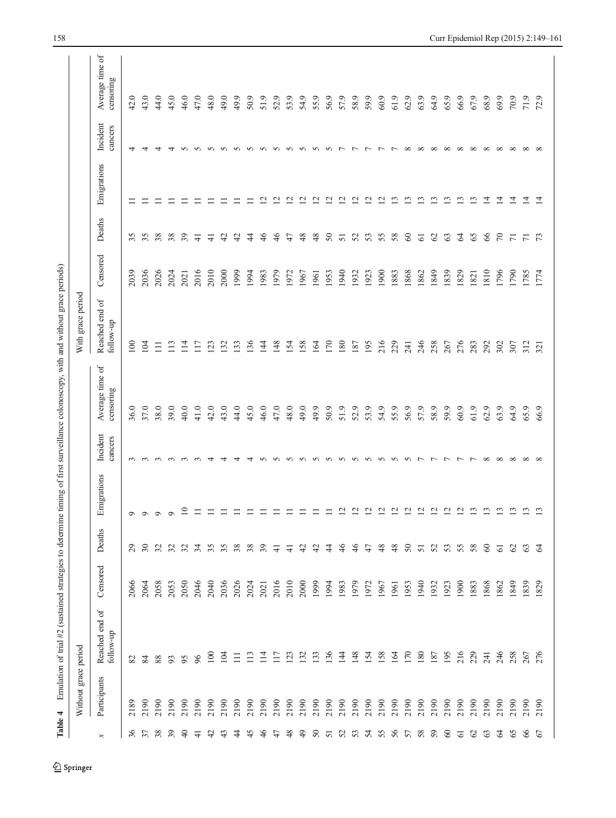<span id="page-9-0"></span>

| Reached end of<br>follow-up<br>136<br>216<br>229<br>133<br>148<br>158<br>170<br>180<br>195<br>246<br>$\overline{100}$<br>114<br>123<br>132<br>$\overline{14}$<br>154<br>164<br>187<br>258<br>267<br>276<br>104<br>113<br>117<br>241<br>$\Xi$<br>96<br>95<br>84<br>88<br>93<br>82<br>Participants<br>2190<br>2190<br>2190<br>2190<br>2190<br>2190<br>2190<br>2190<br>2190<br>2190<br>2190<br>2190<br>2190<br>2190<br>2190<br>2190<br>2190<br>2190<br>2190<br>2190<br>2190<br>2190<br>2190<br>2190<br>2190<br>2190<br>2190<br>2190<br>2190<br>2190<br>2190<br>2189<br>36<br>38<br>39<br>43<br>$\ddot{4}$<br>45<br>46<br>48<br>$\overline{4}$<br>53<br>55<br>58<br>65<br>66<br>57<br>$\Theta$<br>$\ddot{c}$<br>47<br>$50\,$<br>52<br>54<br>57<br>59<br>$\infty$<br>$\mathcal{S}$<br>63<br>$\mathcal{Z}$<br>67<br>근<br>51<br>5<br>$\Join$ | Without grace period |          |                |                   |                     |                              | With grace period           |          |                |                 |                     |                              |
|---------------------------------------------------------------------------------------------------------------------------------------------------------------------------------------------------------------------------------------------------------------------------------------------------------------------------------------------------------------------------------------------------------------------------------------------------------------------------------------------------------------------------------------------------------------------------------------------------------------------------------------------------------------------------------------------------------------------------------------------------------------------------------------------------------------------------------------|----------------------|----------|----------------|-------------------|---------------------|------------------------------|-----------------------------|----------|----------------|-----------------|---------------------|------------------------------|
|                                                                                                                                                                                                                                                                                                                                                                                                                                                                                                                                                                                                                                                                                                                                                                                                                                       |                      | Censored | Deaths         | Emigrations       | Incident<br>cancers | Average time of<br>censoring | Reached end of<br>follow-up | Censored | Deaths         | Emigrations     | Incident<br>cancers | Average time of<br>censoring |
|                                                                                                                                                                                                                                                                                                                                                                                                                                                                                                                                                                                                                                                                                                                                                                                                                                       |                      | 2066     | $\mathcal{E}$  | $\circ$           | $\sim$              | 36.0                         | 100                         | 2039     | 35             | ロ               | ᆉ                   | 42.0                         |
|                                                                                                                                                                                                                                                                                                                                                                                                                                                                                                                                                                                                                                                                                                                                                                                                                                       |                      | 2064     | $\frac{8}{3}$  | $\circ$           | $\sim$              | 37.0                         | 104                         | 2036     | 35             |                 | 4                   | 43.0                         |
|                                                                                                                                                                                                                                                                                                                                                                                                                                                                                                                                                                                                                                                                                                                                                                                                                                       |                      | 2058     | $\mathfrak{L}$ | $\mathsf{\Theta}$ | $\sim$              | 38.0                         | $\Box$                      | 2026     | 38             |                 | 4                   | 44.0                         |
|                                                                                                                                                                                                                                                                                                                                                                                                                                                                                                                                                                                                                                                                                                                                                                                                                                       |                      | 2053     | $\mathfrak{L}$ | $\circ$           | $\sim$              | 39.0                         | 113                         | 2024     | 38             |                 | 4                   | 45.0                         |
|                                                                                                                                                                                                                                                                                                                                                                                                                                                                                                                                                                                                                                                                                                                                                                                                                                       |                      | 2050     | 32             | $\approx$         | $\sim$              | 40.0                         | 114                         | 2021     | 39             |                 | 5                   | 46.0                         |
|                                                                                                                                                                                                                                                                                                                                                                                                                                                                                                                                                                                                                                                                                                                                                                                                                                       |                      | 2046     | 34             | $\equiv$          | $\sim$              | 41.0                         | 117                         | 2016     | ∓              |                 | 5                   | 47.0                         |
|                                                                                                                                                                                                                                                                                                                                                                                                                                                                                                                                                                                                                                                                                                                                                                                                                                       |                      | 2040     | 35             | $\equiv$          | 4                   | 42.0                         | 123                         | 2010     | ∓              |                 | $\sim$              | 48.0                         |
|                                                                                                                                                                                                                                                                                                                                                                                                                                                                                                                                                                                                                                                                                                                                                                                                                                       |                      | 2036     | 35             | $\equiv$          | 4                   | 43.0                         | 132                         | 2000     | 42             |                 | 5                   | 49.0                         |
|                                                                                                                                                                                                                                                                                                                                                                                                                                                                                                                                                                                                                                                                                                                                                                                                                                       |                      | 2026     | 38             | $\equiv$          | 4                   | 44.0                         | 133                         | 1999     | 42             |                 | $\sim$              | 49.9                         |
|                                                                                                                                                                                                                                                                                                                                                                                                                                                                                                                                                                                                                                                                                                                                                                                                                                       |                      | 2024     | 38             | $\equiv$          | 4                   | 45.0                         | 136                         | 1994     | $\ddot{4}$     | $\equiv$        | 5                   | 50.9                         |
|                                                                                                                                                                                                                                                                                                                                                                                                                                                                                                                                                                                                                                                                                                                                                                                                                                       |                      | 2021     | 39             | $\Box$            | $\Omega$            | 46.0                         | 144                         | 1983     | 46             | $\overline{c}$  | $\sim$              | 51.9                         |
|                                                                                                                                                                                                                                                                                                                                                                                                                                                                                                                                                                                                                                                                                                                                                                                                                                       |                      | 2016     | $\pm$          | $\Box$            | $\Omega$            | 47.0                         | 148                         | 1979     | 46             | $\overline{c}$  | $\sim$              | 52.9                         |
|                                                                                                                                                                                                                                                                                                                                                                                                                                                                                                                                                                                                                                                                                                                                                                                                                                       |                      | 2010     | $\pm$          | $\equiv$          | $\Omega$            | 48.0                         | 154                         | 1972     | 47             | $\overline{c}$  | $\sim$              | 53.9                         |
|                                                                                                                                                                                                                                                                                                                                                                                                                                                                                                                                                                                                                                                                                                                                                                                                                                       |                      | 2000     | 42             | $\equiv$          | $\Omega$            | 49.0                         | 158                         | 1967     | 48             | $\overline{c}$  | $\sim$              | 54.9                         |
|                                                                                                                                                                                                                                                                                                                                                                                                                                                                                                                                                                                                                                                                                                                                                                                                                                       |                      | 1999     | $\ddot{c}$     | $\equiv$          | n n n               | 49.9                         | 164                         | 1961     | 48             | $\overline{c}$  | $\sim$              | 55.9                         |
|                                                                                                                                                                                                                                                                                                                                                                                                                                                                                                                                                                                                                                                                                                                                                                                                                                       |                      | 1994     | $\ddot{4}$     | $\equiv$          |                     | 50.9                         | 170                         | 1953     | $50\,$         | $\overline{c}$  | $\sim$              | 56.9                         |
|                                                                                                                                                                                                                                                                                                                                                                                                                                                                                                                                                                                                                                                                                                                                                                                                                                       |                      | 1983     | 46             | $\overline{12}$   |                     | 51.9                         | 180                         | 0761     | 51             | $\overline{c}$  | $\overline{ }$      | 57.9                         |
|                                                                                                                                                                                                                                                                                                                                                                                                                                                                                                                                                                                                                                                                                                                                                                                                                                       |                      | 1979     | 46             | $\overline{2}$    |                     | 52.9                         | 187                         | 1932     | 52             | $\overline{c}$  | $\overline{ }$      | 58.9                         |
|                                                                                                                                                                                                                                                                                                                                                                                                                                                                                                                                                                                                                                                                                                                                                                                                                                       |                      | 1972     | 47             | $\overline{2}$    |                     | 53.9                         | 195                         | 1923     | 53             | $\overline{c}$  | $\overline{ }$      | 59.9                         |
|                                                                                                                                                                                                                                                                                                                                                                                                                                                                                                                                                                                                                                                                                                                                                                                                                                       |                      | 1967     | 48             | 12                |                     | 54.9                         | 216                         | 1900     | 55             | $\Xi$           | $\overline{ }$      | 60.9                         |
|                                                                                                                                                                                                                                                                                                                                                                                                                                                                                                                                                                                                                                                                                                                                                                                                                                       |                      | 1961     | 48             | $\overline{2}$    |                     | 55.9                         | 229                         | 1883     | 58             | $\mathbf{r}$    | $\overline{ }$      | 61.9                         |
|                                                                                                                                                                                                                                                                                                                                                                                                                                                                                                                                                                                                                                                                                                                                                                                                                                       |                      | 1953     | $50^{\circ}$   | $\overline{12}$   | いいいいい               | 56.9                         | 241                         | 1868     | 60             | $\mathbf{r}$    | $\infty$            | 62.9                         |
|                                                                                                                                                                                                                                                                                                                                                                                                                                                                                                                                                                                                                                                                                                                                                                                                                                       |                      | 1940     | 51             | $\overline{c}$    |                     | 57.9                         | 246                         | 1862     | 61             | $\mathbf{r}$    | $\infty$            | 63.9                         |
|                                                                                                                                                                                                                                                                                                                                                                                                                                                                                                                                                                                                                                                                                                                                                                                                                                       |                      | 1932     | 52             | $\overline{12}$   | $\overline{r}$      | 58.9                         | 258                         | 1849     | $\mathcal{S}$  | $\overline{13}$ | $\infty$            | 64.9                         |
|                                                                                                                                                                                                                                                                                                                                                                                                                                                                                                                                                                                                                                                                                                                                                                                                                                       |                      | 1923     | 53             | $\overline{5}$    | $\overline{r}$      | 59.9                         | 267                         | 1839     | 63             | $\overline{13}$ | $\infty$            | 65.9                         |
|                                                                                                                                                                                                                                                                                                                                                                                                                                                                                                                                                                                                                                                                                                                                                                                                                                       |                      | 1900     | -55            | $\overline{12}$   | $\overline{r}$      | 60.9                         | 276                         | 1829     | $\mathcal{Z}$  | $\mathbf{r}$    | $\infty$            | 66.9                         |
|                                                                                                                                                                                                                                                                                                                                                                                                                                                                                                                                                                                                                                                                                                                                                                                                                                       |                      | 1883     | 58             | 13                | $\overline{ }$      | 61.9                         | 283                         | 1821     | 65             | $\mathbf{r}$    | $\infty$            | 67.9                         |
|                                                                                                                                                                                                                                                                                                                                                                                                                                                                                                                                                                                                                                                                                                                                                                                                                                       |                      | 1868     | $\infty$       | 13                | $\infty$            | 62.9                         | 292                         | 1810     | 66             | $\overline{4}$  | $\infty$            | 68.9                         |
|                                                                                                                                                                                                                                                                                                                                                                                                                                                                                                                                                                                                                                                                                                                                                                                                                                       |                      | 1862     | 5              | 13                | $\infty$            | 63.9                         | 302                         | 1796     | $\mathcal{L}$  | $\overline{1}$  | $\infty$            | 69.9                         |
|                                                                                                                                                                                                                                                                                                                                                                                                                                                                                                                                                                                                                                                                                                                                                                                                                                       |                      | 1849     | $\mathcal{S}$  | 13                | $\infty$            | 64.9                         | 307                         | 1790     | $\overline{r}$ | $\overline{4}$  | $\infty$            | 70.9                         |
|                                                                                                                                                                                                                                                                                                                                                                                                                                                                                                                                                                                                                                                                                                                                                                                                                                       |                      | 1839     | $\mathcal{C}$  | 13                | $\infty$            | 65.9                         | 312                         | 1785     | $\overline{r}$ | $\overline{1}$  | $\infty$            | 71.9                         |
|                                                                                                                                                                                                                                                                                                                                                                                                                                                                                                                                                                                                                                                                                                                                                                                                                                       |                      | 1829     | $\mathcal{Z}$  | 13                | $\infty$            | 66.9                         | 321                         | 1774     | $\mathcal{L}$  | $\overline{1}$  | $\infty$            | 72.9                         |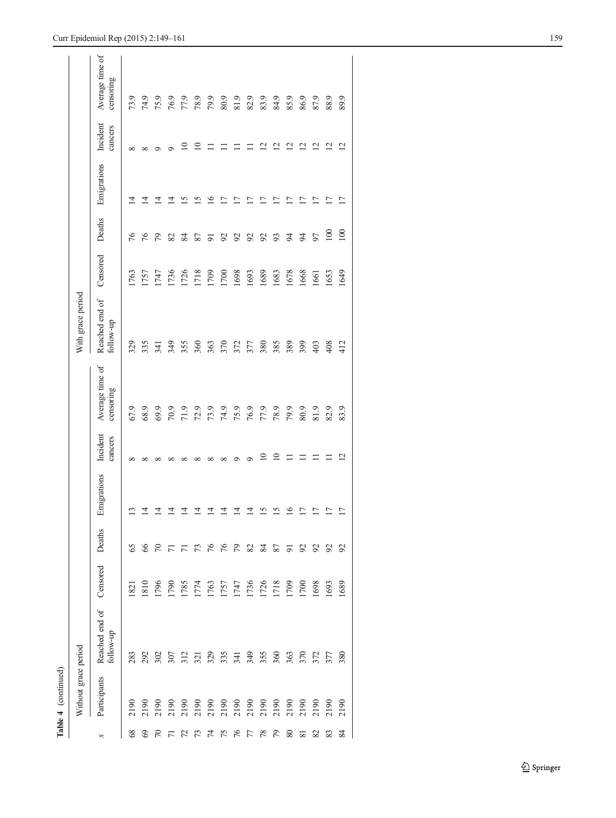| í,<br>I<br>í |
|--------------|
|              |
|              |

|        | Without grace period         |                             |          |                |                 |                     |                              | With grace period           |          |                |                          |                           |                              |
|--------|------------------------------|-----------------------------|----------|----------------|-----------------|---------------------|------------------------------|-----------------------------|----------|----------------|--------------------------|---------------------------|------------------------------|
|        | Participants                 | Reached end of<br>follow-up | Censored | Deaths         | Emigrations     | Incident<br>cancers | Average time of<br>censoring | Reached end of<br>follow-up | Censored | Deaths         | Emigrations              | Incident<br>cancers       | Average time of<br>censoring |
| 68     | 2190                         | 283                         | 821      | 65             | $\frac{13}{2}$  | $\infty$            | 67.9                         | 329                         | 1763     | 76             | ュ                        | ∞                         | 73.9                         |
| 69     | 2190                         | 292                         | 1810     | 99             | $\overline{4}$  | ∝                   | 68.9                         | 335                         | 1757     | 76             | ュ                        | ∝                         | 74.9                         |
| 5      |                              | 302                         | 1796     | 50             | $\overline{4}$  | ∝                   | 69.9                         | 341                         | 1747     | 79             | 그                        | ⌒                         | 75.9                         |
| F      |                              | 307                         | 1790     | $\overline{r}$ | $\overline{4}$  | ∝                   |                              | 349                         | 1736     | 82             | ュ                        | σ                         |                              |
|        | 2190<br>2190<br>2190<br>2190 | 312                         | 1785     |                | $\vec{4}$       | ∞                   | 70.9<br>71.9<br>73.9         | 355                         | 1726     | 84             | ≌                        | $\subseteq$               | 76.9<br>77.9                 |
|        |                              | 321                         | 1774     | 73             | $\vec{a}$       | ∝                   |                              | 360                         | 1718     | 87             | 51                       | $\subseteq$               | 78.9                         |
| 74     |                              | 329                         | 1763     | 76             | $\overline{4}$  | $\infty$            |                              | 363                         | 1709     | $\overline{5}$ | $\frac{6}{2}$            |                           | 79.9                         |
| 75     | 2190<br>2190<br>2190         | 335                         | 1757     | 76             | $\overline{4}$  | ${}^{\circ}$        |                              | 370                         | 1700     | $\mathcal{S}$  | $\overline{\phantom{0}}$ |                           | $80.9\,$                     |
| 76     |                              | 341                         | 1747     | 64             | $\vec{a}$       | ⌒                   | 74.9<br>75.9                 | 372                         | 1698     | $\mathcal{S}$  | L)                       |                           | 81.9                         |
| 77     |                              | 349                         | 1736     | 82             | $\overline{1}$  | σ                   |                              | 377                         | 1693     | $\mathcal{S}$  | ΓI                       |                           | 82.9                         |
| 78     |                              | 355                         | 1726     | 84             | 15              | $\overline{10}$     | 76.9<br>77.9                 | 380                         | 1689     | $\mathcal{S}$  | $\overline{\phantom{0}}$ | $\bar{\omega}$            | 83.9                         |
| 54     | 2190                         | 360                         | 1718     | 87             | 15              | $\supseteq$         | 78.9                         | 385                         | 1683     | 93             | $\overline{1}$           | $\overline{\mathcal{C}}$  | 84.9                         |
| $80\,$ | 2190                         | 363                         | 1709     | $\overline{5}$ | 16              |                     | 79.9                         | 389                         | 1678     | $\overline{6}$ | $\Box$                   | ⊴                         | 85.9                         |
| ವ      | 2190                         | 370                         | 1700     | $\mathcal{S}$  | $\overline{17}$ |                     | 80.9                         | 399                         | 1668     | $\overline{5}$ | $\Box$                   | ⊴                         | 86.9                         |
| 82     |                              | 372                         | 1698     | 56             | $\overline{17}$ |                     | 81.9                         | 403                         | 1661     | 50             | $\overline{17}$          | $\bar{\omega}$            | 87.9                         |
| 83     | 2190                         | 377                         | 1693     | 55             | $\overline{17}$ |                     | 82.9                         | 408                         | 1653     | $\approx$      | Ξ                        | $\overline{\mathfrak{c}}$ | 88.9                         |
| 84     | 2190                         | 380                         | 1689     | $\mathcal{S}$  | 17              | $\overline{2}$      | 83.9                         | 412                         | 1649     | 100            | 17                       | $\bar{\omega}$            | 89.9                         |
|        |                              |                             |          |                |                 |                     |                              |                             |          |                |                          |                           |                              |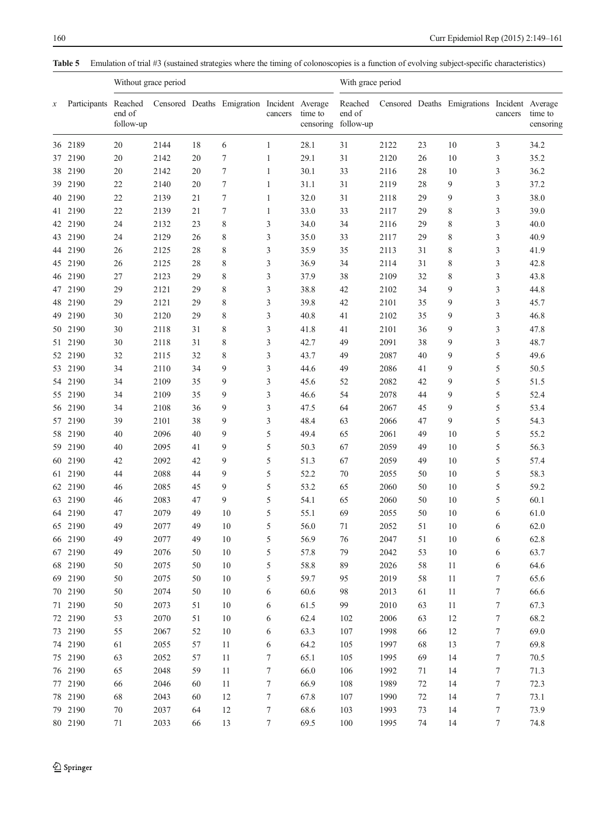<span id="page-11-0"></span>Table 5 Emulation of trial #3 (sustained strategies where the timing of colonoscopies is a function of evolving subject-specific characteristics)

|                  |                      |                     | Without grace period |    |                                             |              |         | With grace period                        |      |        |                                              |                  |                      |
|------------------|----------------------|---------------------|----------------------|----|---------------------------------------------|--------------|---------|------------------------------------------|------|--------|----------------------------------------------|------------------|----------------------|
| $\boldsymbol{x}$ | Participants Reached | end of<br>follow-up |                      |    | Censored Deaths Emigration Incident Average | cancers      | time to | Reached<br>end of<br>censoring follow-up |      |        | Censored Deaths Emigrations Incident Average | cancers          | time to<br>censoring |
|                  | 36 2189              | 20                  | 2144                 | 18 | 6                                           | $\mathbf{1}$ | 28.1    | 31                                       | 2122 | 23     | 10                                           | 3                | 34.2                 |
|                  | 37 2190              | 20                  | 2142                 | 20 | 7                                           | 1            | 29.1    | 31                                       | 2120 | 26     | 10                                           | 3                | 35.2                 |
|                  | 38 2190              | 20                  | 2142                 | 20 | 7                                           | $\mathbf{1}$ | 30.1    | 33                                       | 2116 | 28     | 10                                           | 3                | 36.2                 |
|                  | 39 2190              | 22                  | 2140                 | 20 | 7                                           | $\mathbf{1}$ | 31.1    | 31                                       | 2119 | 28     | 9                                            | 3                | 37.2                 |
|                  | 40 2190              | 22                  | 2139                 | 21 | 7                                           | $\mathbf{1}$ | 32.0    | 31                                       | 2118 | 29     | 9                                            | 3                | 38.0                 |
| 41               | 2190                 | 22                  | 2139                 | 21 | 7                                           | $\mathbf{1}$ | 33.0    | 33                                       | 2117 | 29     | 8                                            | 3                | 39.0                 |
| 42               | 2190                 | 24                  | 2132                 | 23 | 8                                           | 3            | 34.0    | 34                                       | 2116 | 29     | 8                                            | 3                | 40.0                 |
|                  | 43 2190              | 24                  | 2129                 | 26 | 8                                           | 3            | 35.0    | 33                                       | 2117 | 29     | 8                                            | 3                | 40.9                 |
|                  | 44 2190              | 26                  | 2125                 | 28 | 8                                           | 3            | 35.9    | 35                                       | 2113 | 31     | 8                                            | $\mathfrak{Z}$   | 41.9                 |
| 45               | 2190                 | 26                  | 2125                 | 28 | 8                                           | 3            | 36.9    | 34                                       | 2114 | 31     | 8                                            | 3                | 42.8                 |
|                  | 46 2190              | 27                  | 2123                 | 29 | 8                                           | 3            | 37.9    | 38                                       | 2109 | 32     | 8                                            | 3                | 43.8                 |
| 47               | 2190                 | 29                  | 2121                 | 29 | 8                                           | 3            | 38.8    | 42                                       | 2102 | 34     | 9                                            | 3                | 44.8                 |
| 48               | 2190                 | 29                  | 2121                 | 29 | 8                                           | 3            | 39.8    | 42                                       | 2101 | 35     | 9                                            | 3                | 45.7                 |
| 49               | 2190                 | 30                  | 2120                 | 29 | 8                                           | 3            | 40.8    | 41                                       | 2102 | 35     | 9                                            | 3                | 46.8                 |
| 50               | 2190                 | 30                  | 2118                 | 31 | 8                                           | 3            | 41.8    | 41                                       | 2101 | 36     | 9                                            | 3                | 47.8                 |
|                  | 51 2190              | 30                  | 2118                 | 31 | 8                                           | 3            | 42.7    | 49                                       | 2091 | 38     | 9                                            | 3                | 48.7                 |
|                  | 52 2190              | 32                  | 2115                 | 32 | 8                                           | 3            | 43.7    | 49                                       | 2087 | 40     | 9                                            | 5                | 49.6                 |
| 53               | 2190                 | 34                  | 2110                 | 34 | 9                                           | 3            | 44.6    | 49                                       | 2086 | 41     | 9                                            | 5                | 50.5                 |
|                  | 54 2190              | 34                  | 2109                 | 35 | 9                                           | 3            | 45.6    | 52                                       | 2082 | 42     | 9                                            | 5                | 51.5                 |
|                  | 55 2190              | 34                  | 2109                 | 35 | 9                                           | 3            | 46.6    | 54                                       | 2078 | 44     | 9                                            | 5                | 52.4                 |
|                  | 56 2190              | 34                  | 2108                 | 36 | 9                                           | 3            | 47.5    | 64                                       | 2067 | 45     | 9                                            | 5                | 53.4                 |
|                  | 57 2190              | 39                  | 2101                 | 38 | 9                                           | 3            | 48.4    | 63                                       | 2066 | 47     | 9                                            | 5                | 54.3                 |
| 58               | 2190                 | 40                  | 2096                 | 40 | 9                                           | 5            | 49.4    | 65                                       | 2061 | 49     | 10                                           | 5                | 55.2                 |
| 59.              | 2190                 | 40                  | 2095                 | 41 | 9                                           | 5            | 50.3    | 67                                       | 2059 | 49     | 10                                           | 5                | 56.3                 |
|                  | 60 2190              | 42                  | 2092                 | 42 | 9                                           | 5            | 51.3    | 67                                       | 2059 | 49     | 10                                           | 5                | 57.4                 |
|                  | 61 2190              | 44                  | 2088                 | 44 | 9                                           | 5            | 52.2    | 70                                       | 2055 | 50     | 10                                           | $\mathfrak s$    | 58.3                 |
|                  | 62 2190              | 46                  | 2085                 | 45 | 9                                           | 5            | 53.2    | 65                                       | 2060 | 50     | 10                                           | 5                | 59.2                 |
|                  | 63 2190              | 46                  | 2083                 | 47 | 9                                           | 5            | 54.1    | 65                                       | 2060 | 50     | 10                                           | 5                | 60.1                 |
|                  | 64 2190              | 47                  | 2079                 | 49 | 10                                          | 5            | 55.1    | 69                                       | 2055 | 50     | 10                                           | 6                | 61.0                 |
|                  | 65 2190              | 49                  | 2077                 | 49 | 10                                          | 5            | 56.0    | 71                                       | 2052 | 51     | 10                                           | 6                | 62.0                 |
|                  | 66 2190              | 49                  | 2077                 | 49 | 10                                          | 5            | 56.9    | 76                                       | 2047 | 51     | 10                                           | 6                | 62.8                 |
|                  | 67 2190              | 49                  | 2076                 | 50 | 10                                          | 5            | 57.8    | 79                                       | 2042 | 53     | 10                                           | 6                | 63.7                 |
|                  | 68 2190              | 50                  | 2075                 | 50 | 10                                          | 5            | 58.8    | 89                                       | 2026 | 58     | 11                                           | 6                | 64.6                 |
|                  | 69 2190              | 50                  | 2075                 | 50 | 10                                          | 5            | 59.7    | 95                                       | 2019 | 58     | 11                                           | 7                | 65.6                 |
|                  | 70 2190              | 50                  | 2074                 | 50 | 10                                          | 6            | 60.6    | 98                                       | 2013 | 61     | 11                                           | 7                | 66.6                 |
|                  | 71 2190              | 50                  | 2073                 | 51 | 10                                          | 6            | 61.5    | 99                                       | 2010 | 63     | 11                                           | 7                | 67.3                 |
|                  | 72 2190              | 53                  | 2070                 | 51 | 10                                          | 6            | 62.4    | 102                                      | 2006 | 63     | 12                                           | 7                | 68.2                 |
|                  | 73 2190              | 55                  | 2067                 | 52 | 10                                          | 6            | 63.3    | 107                                      | 1998 | 66     | 12                                           | $\boldsymbol{7}$ | 69.0                 |
|                  | 74 2190              | 61                  | 2055                 | 57 | 11                                          | 6            | 64.2    | 105                                      | 1997 | 68     | 13                                           | 7                | 69.8                 |
|                  | 75 2190              | 63                  | 2052                 | 57 | 11                                          | $\tau$       | 65.1    | 105                                      | 1995 | 69     | 14                                           | 7                | 70.5                 |
|                  | 76 2190              | 65                  | 2048                 | 59 | 11                                          | 7            | 66.0    | 106                                      | 1992 | 71     | 14                                           | 7                | 71.3                 |
|                  | 77 2190              | 66                  | 2046                 | 60 | 11                                          | $\tau$       | 66.9    | 108                                      | 1989 | $72\,$ | 14                                           | 7                | 72.3                 |
|                  | 78 2190              | 68                  | 2043                 | 60 | 12                                          | $\tau$       | 67.8    | 107                                      | 1990 | $72\,$ | 14                                           | 7                | 73.1                 |
|                  | 79 2190              | 70                  | 2037                 | 64 | $12\,$                                      | $\tau$       | 68.6    | 103                                      | 1993 | 73     | 14                                           | 7                | 73.9                 |
|                  | 80 2190              | 71                  | 2033                 | 66 | 13                                          | $\tau$       | 69.5    | 100                                      | 1995 | $74\,$ | 14                                           | $\tau$           | 74.8                 |